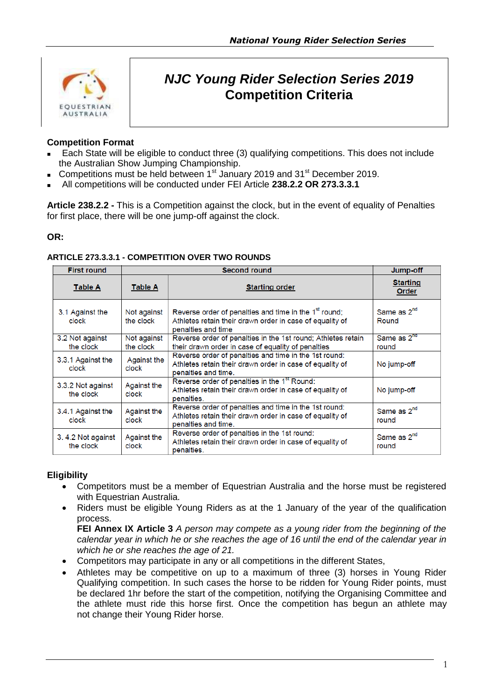

# *NJC Young Rider Selection Series 2019* **Competition Criteria**

## **Competition Format**

- Each State will be eligible to conduct three (3) qualifying competitions. This does not include the Australian Show Jumping Championship.
- Competitions must be held between  $1<sup>st</sup>$  January 2019 and 31 $<sup>st</sup>$  December 2019.</sup>
- All competitions will be conducted under FEI Article **238.2.2 OR 273.3.3.1**

**Article 238.2.2 -** This is a Competition against the clock, but in the event of equality of Penalties for first place, there will be one jump-off against the clock.

#### **OR:**

| <b>First round</b>             | <b>Second round</b>      |                                                                                                                                                     | Jump-off                         |
|--------------------------------|--------------------------|-----------------------------------------------------------------------------------------------------------------------------------------------------|----------------------------------|
| <b>Table A</b>                 | <b>Table A</b>           | <b>Starting order</b>                                                                                                                               | <b>Starting</b><br>Order         |
| 3.1 Against the<br>clock       | Not against<br>the clock | Reverse order of penalties and time in the 1 <sup>st</sup> round;<br>Athletes retain their drawn order in case of equality of<br>penalties and time | Same as 2 <sup>nd</sup><br>Round |
| 3.2 Not against<br>the clock   | Not against<br>the clock | Reverse order of penalties in the 1st round; Athletes retain<br>their drawn order in case of equality of penalties                                  | Same as 2 <sup>nd</sup><br>round |
| 3.3.1 Against the<br>clock     | Against the<br>clock     | Reverse order of penalties and time in the 1st round:<br>Athletes retain their drawn order in case of equality of<br>penalties and time.            | No jump-off                      |
| 3.3.2 Not against<br>the clock | Against the<br>clock     | Reverse order of penalties in the 1 <sup>st</sup> Round:<br>Athletes retain their drawn order in case of equality of<br>penalties.                  | No jump-off                      |
| 3.4.1 Against the<br>clock     | Against the<br>clock     | Reverse order of penalties and time in the 1st round:<br>Athletes retain their drawn order in case of equality of<br>penalties and time.            | Same as 2 <sup>nd</sup><br>round |
| 3.4.2 Not against<br>the clock | Against the<br>clock     | Reverse order of penalties in the 1st round:<br>Athletes retain their drawn order in case of equality of<br>penalties.                              | Same as 2 <sup>nd</sup><br>round |

#### **ARTICLE 273.3.3.1 - COMPETITION OVER TWO ROUNDS**

#### **Eligibility**

- Competitors must be a member of Equestrian Australia and the horse must be registered with Equestrian Australia.
- Riders must be eligible Young Riders as at the 1 January of the year of the qualification process.

**FEI Annex IX Article 3** *A person may compete as a young rider from the beginning of the calendar year in which he or she reaches the age of 16 until the end of the calendar year in which he or she reaches the age of 21.*

- Competitors may participate in any or all competitions in the different States,
- Athletes may be competitive on up to a maximum of three (3) horses in Young Rider Qualifying competition. In such cases the horse to be ridden for Young Rider points, must be declared 1hr before the start of the competition, notifying the Organising Committee and the athlete must ride this horse first. Once the competition has begun an athlete may not change their Young Rider horse.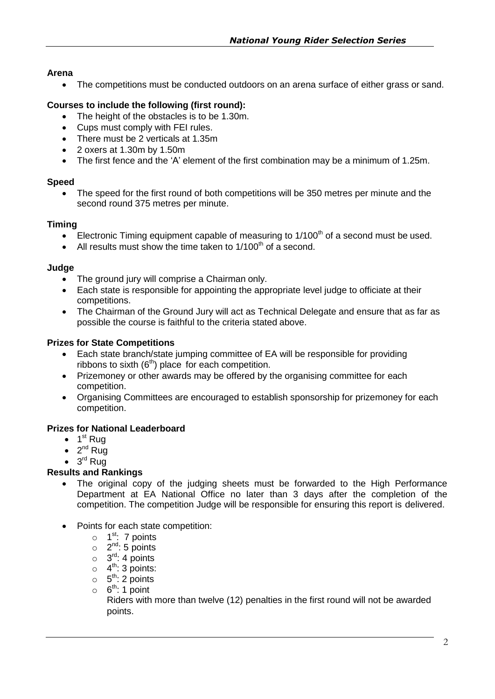## **Arena**

The competitions must be conducted outdoors on an arena surface of either grass or sand.

## **Courses to include the following (first round):**

- The height of the obstacles is to be 1.30m.
- Cups must comply with FEI rules.
- There must be 2 verticals at 1.35m
- 2 oxers at 1.30m by 1.50m
- The first fence and the 'A' element of the first combination may be a minimum of 1.25m.

#### **Speed**

• The speed for the first round of both competitions will be 350 metres per minute and the second round 375 metres per minute.

## **Timing**

- Electronic Timing equipment capable of measuring to  $1/100<sup>th</sup>$  of a second must be used.
- All results must show the time taken to  $1/100<sup>th</sup>$  of a second.

## **Judge**

- The ground jury will comprise a Chairman only.
- Each state is responsible for appointing the appropriate level judge to officiate at their competitions.
- The Chairman of the Ground Jury will act as Technical Delegate and ensure that as far as possible the course is faithful to the criteria stated above.

## **Prizes for State Competitions**

- Each state branch/state jumping committee of EA will be responsible for providing ribbons to sixth  $(6<sup>th</sup>)$  place for each competition.
- Prizemoney or other awards may be offered by the organising committee for each competition.
- Organising Committees are encouraged to establish sponsorship for prizemoney for each competition.

# **Prizes for National Leaderboard**

- $\bullet$  1<sup>st</sup> Rug
- $\bullet$  2<sup>nd</sup> Rug
- $\bullet$  3<sup>rd</sup> Rug

# **Results and Rankings**

- The original copy of the judging sheets must be forwarded to the High Performance Department at EA National Office no later than 3 days after the completion of the competition. The competition Judge will be responsible for ensuring this report is delivered.
- Points for each state competition:
	- $\circ$  1<sup>st</sup>: 7 points
	- $\circ$  2<sup>nd</sup>: 5 points
	- $\circ$  3<sup>rd</sup>: 4 points
	- $\circ$  4<sup>th</sup>: 3 points:
	- $\circ$  5<sup>th</sup>: 2 points
	- $\circ$  6<sup>th</sup>: 1 point

Riders with more than twelve (12) penalties in the first round will not be awarded points.